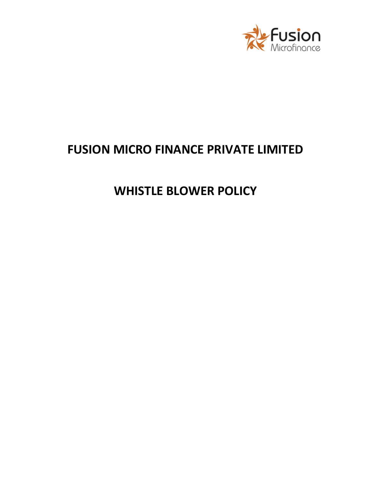

# **FUSION MICRO FINANCE PRIVATE LIMITED**

# **WHISTLE BLOWER POLICY**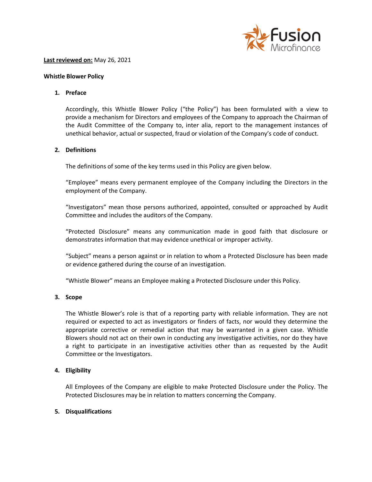

#### **Last reviewed on:** May 26, 2021

#### **Whistle Blower Policy**

# **1. Preface**

Accordingly, this Whistle Blower Policy ("the Policy") has been formulated with a view to provide a mechanism for Directors and employees of the Company to approach the Chairman of the Audit Committee of the Company to, inter alia, report to the management instances of unethical behavior, actual or suspected, fraud or violation of the Company's code of conduct.

## **2. Definitions**

The definitions of some of the key terms used in this Policy are given below.

"Employee" means every permanent employee of the Company including the Directors in the employment of the Company.

"Investigators" mean those persons authorized, appointed, consulted or approached by Audit Committee and includes the auditors of the Company.

"Protected Disclosure" means any communication made in good faith that disclosure or demonstrates information that may evidence unethical or improper activity.

"Subject" means a person against or in relation to whom a Protected Disclosure has been made or evidence gathered during the course of an investigation.

"Whistle Blower" means an Employee making a Protected Disclosure under this Policy.

## **3. Scope**

The Whistle Blower's role is that of a reporting party with reliable information. They are not required or expected to act as investigators or finders of facts, nor would they determine the appropriate corrective or remedial action that may be warranted in a given case. Whistle Blowers should not act on their own in conducting any investigative activities, nor do they have a right to participate in an investigative activities other than as requested by the Audit Committee or the Investigators.

# **4. Eligibility**

All Employees of the Company are eligible to make Protected Disclosure under the Policy. The Protected Disclosures may be in relation to matters concerning the Company.

## **5. Disqualifications**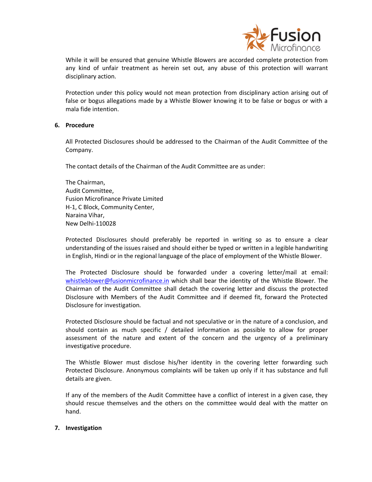

While it will be ensured that genuine Whistle Blowers are accorded complete protection from any kind of unfair treatment as herein set out, any abuse of this protection will warrant disciplinary action.

Protection under this policy would not mean protection from disciplinary action arising out of false or bogus allegations made by a Whistle Blower knowing it to be false or bogus or with a mala fide intention.

# **6. Procedure**

All Protected Disclosures should be addressed to the Chairman of the Audit Committee of the Company.

The contact details of the Chairman of the Audit Committee are as under:

The Chairman, Audit Committee, Fusion Microfinance Private Limited H-1, C Block, Community Center, Naraina Vihar, New Delhi-110028

Protected Disclosures should preferably be reported in writing so as to ensure a clear understanding of the issues raised and should either be typed or written in a legible handwriting in English, Hindi or in the regional language of the place of employment of the Whistle Blower.

The Protected Disclosure should be forwarded under a covering letter/mail at email: [whistleblower@fusionmicrofinance.in](mailto:whistleblower@fusionmicrofinance.in) which shall bear the identity of the Whistle Blower. The Chairman of the Audit Committee shall detach the covering letter and discuss the protected Disclosure with Members of the Audit Committee and if deemed fit, forward the Protected Disclosure for investigation.

Protected Disclosure should be factual and not speculative or in the nature of a conclusion, and should contain as much specific / detailed information as possible to allow for proper assessment of the nature and extent of the concern and the urgency of a preliminary investigative procedure.

The Whistle Blower must disclose his/her identity in the covering letter forwarding such Protected Disclosure. Anonymous complaints will be taken up only if it has substance and full details are given.

If any of the members of the Audit Committee have a conflict of interest in a given case, they should rescue themselves and the others on the committee would deal with the matter on hand.

## **7. Investigation**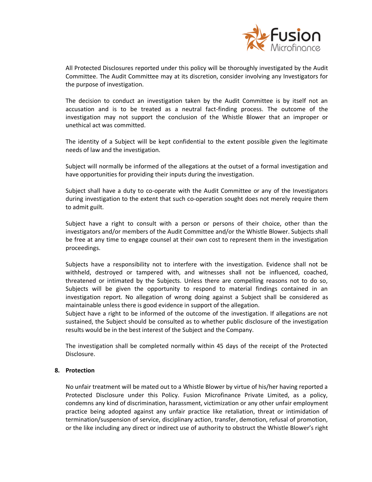

All Protected Disclosures reported under this policy will be thoroughly investigated by the Audit Committee. The Audit Committee may at its discretion, consider involving any Investigators for the purpose of investigation.

The decision to conduct an investigation taken by the Audit Committee is by itself not an accusation and is to be treated as a neutral fact-finding process. The outcome of the investigation may not support the conclusion of the Whistle Blower that an improper or unethical act was committed.

The identity of a Subject will be kept confidential to the extent possible given the legitimate needs of law and the investigation.

Subject will normally be informed of the allegations at the outset of a formal investigation and have opportunities for providing their inputs during the investigation.

Subject shall have a duty to co-operate with the Audit Committee or any of the Investigators during investigation to the extent that such co-operation sought does not merely require them to admit guilt.

Subject have a right to consult with a person or persons of their choice, other than the investigators and/or members of the Audit Committee and/or the Whistle Blower. Subjects shall be free at any time to engage counsel at their own cost to represent them in the investigation proceedings.

Subjects have a responsibility not to interfere with the investigation. Evidence shall not be withheld, destroyed or tampered with, and witnesses shall not be influenced, coached, threatened or intimated by the Subjects. Unless there are compelling reasons not to do so, Subjects will be given the opportunity to respond to material findings contained in an investigation report. No allegation of wrong doing against a Subject shall be considered as maintainable unless there is good evidence in support of the allegation.

Subject have a right to be informed of the outcome of the investigation. If allegations are not sustained, the Subject should be consulted as to whether public disclosure of the investigation results would be in the best interest of the Subject and the Company.

The investigation shall be completed normally within 45 days of the receipt of the Protected Disclosure.

## **8. Protection**

No unfair treatment will be mated out to a Whistle Blower by virtue of his/her having reported a Protected Disclosure under this Policy. Fusion Microfinance Private Limited, as a policy, condemns any kind of discrimination, harassment, victimization or any other unfair employment practice being adopted against any unfair practice like retaliation, threat or intimidation of termination/suspension of service, disciplinary action, transfer, demotion, refusal of promotion, or the like including any direct or indirect use of authority to obstruct the Whistle Blower's right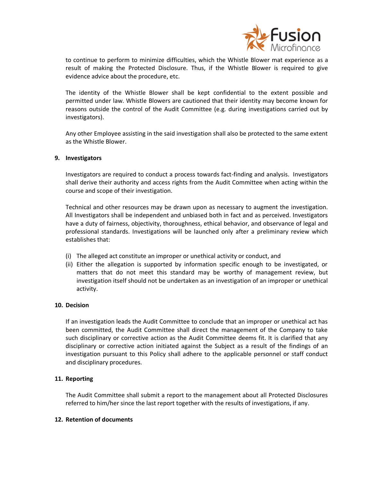

to continue to perform to minimize difficulties, which the Whistle Blower mat experience as a result of making the Protected Disclosure. Thus, if the Whistle Blower is required to give evidence advice about the procedure, etc.

The identity of the Whistle Blower shall be kept confidential to the extent possible and permitted under law. Whistle Blowers are cautioned that their identity may become known for reasons outside the control of the Audit Committee (e.g. during investigations carried out by investigators).

Any other Employee assisting in the said investigation shall also be protected to the same extent as the Whistle Blower.

# **9. Investigators**

Investigators are required to conduct a process towards fact-finding and analysis. Investigators shall derive their authority and access rights from the Audit Committee when acting within the course and scope of their investigation.

Technical and other resources may be drawn upon as necessary to augment the investigation. All Investigators shall be independent and unbiased both in fact and as perceived. Investigators have a duty of fairness, objectivity, thoroughness, ethical behavior, and observance of legal and professional standards. Investigations will be launched only after a preliminary review which establishes that:

- (i) The alleged act constitute an improper or unethical activity or conduct, and
- (ii) Either the allegation is supported by information specific enough to be investigated, or matters that do not meet this standard may be worthy of management review, but investigation itself should not be undertaken as an investigation of an improper or unethical activity.

## **10. Decision**

If an investigation leads the Audit Committee to conclude that an improper or unethical act has been committed, the Audit Committee shall direct the management of the Company to take such disciplinary or corrective action as the Audit Committee deems fit. It is clarified that any disciplinary or corrective action initiated against the Subject as a result of the findings of an investigation pursuant to this Policy shall adhere to the applicable personnel or staff conduct and disciplinary procedures.

# **11. Reporting**

The Audit Committee shall submit a report to the management about all Protected Disclosures referred to him/her since the last report together with the results of investigations, if any.

## **12. Retention of documents**